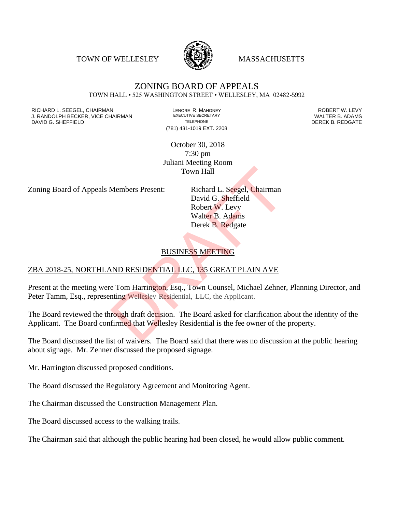TOWN OF WELLESLEY **WASSACHUSETTS** 



## ZONING BOARD OF APPEALS TOWN HALL • 525 WASHINGTON STREET • WELLESLEY, MA 02482-5992

RICHARD L. SEEGEL, CHAIRMAN LENORE R. MAHONEY ROBERT W. LEVY J. RANDOLPH BECKER, VICE CHAIRMAN EXECUTIVE SECRETARY OF TELEPHONE DAVID G. SHEFFIELD **TELEPHONE** TELEPHONE TELEPHONE **TELEPHONE DEREK B. REDGATE** 

(781) 431-1019 EXT. 2208

October 30, 2018 7:30 pm Juliani Meeting Room Town Hall

Zoning Board of Appeals Members Present: Richard L. Seegel, Chairman

David G. Sheffield Robert W. Levy Walter B. Adams Derek B. Redgate Town Hall<br>
Members Present: Richard L. Seegel, Chairman<br>
David G. Sheffield<br>
Robert W. Levy<br>
Walter B. Adams<br>
Derek B. Redgate<br>
BUSINESS MEETING<br>
ND RESIDENTIAL LLC, 135 GREAT PLAIN AVE<br>
e Tom Harrington, Esq., Town Counse

## BUSINESS MEETING

## ZBA 2018-25, NORTHLAND RESIDENTIAL LLC, 135 GREAT PLAIN AVE

Present at the meeting were Tom Harrington, Esq., Town Counsel, Michael Zehner, Planning Director, and Peter Tamm, Esq., representing Wellesley Residential, LLC, the Applicant.

The Board reviewed the through draft decision. The Board asked for clarification about the identity of the Applicant. The Board confirmed that Wellesley Residential is the fee owner of the property.

The Board discussed the list of waivers. The Board said that there was no discussion at the public hearing about signage. Mr. Zehner discussed the proposed signage.

Mr. Harrington discussed proposed conditions.

The Board discussed the Regulatory Agreement and Monitoring Agent.

The Chairman discussed the Construction Management Plan.

The Board discussed access to the walking trails.

The Chairman said that although the public hearing had been closed, he would allow public comment.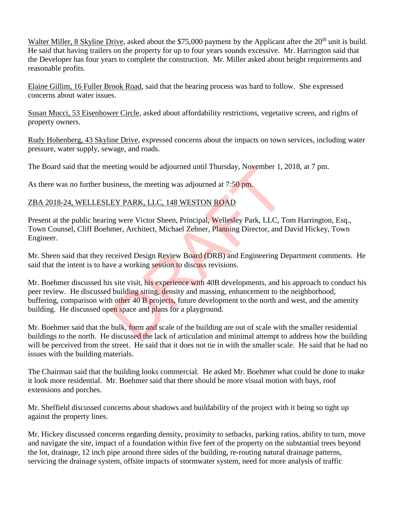Walter Miller, 8 Skyline Drive, asked about the \$75,000 payment by the Applicant after the 20<sup>th</sup> unit is build. He said that having trailers on the property for up to four years sounds excessive. Mr. Harrington said that the Developer has four years to complete the construction. Mr. Miller asked about height requirements and reasonable profits.

Elaine Gillim, 16 Fuller Brook Road, said that the hearing process was hard to follow. She expressed concerns about water issues.

Susan Mucci, 53 Eisenhower Circle, asked about affordability restrictions, vegetative screen, and rights of property owners.

Rudy Hohenberg, 43 Skyline Drive, expressed concerns about the impacts on town services, including water pressure, water supply, sewage, and roads.

The Board said that the meeting would be adjourned until Thursday, November 1, 2018, at 7 pm.

As there was no further business, the meeting was adjourned at 7:50 pm.

## ZBA 2018-24, WELLESLEY PARK, LLC, 148 WESTON ROAD

Present at the public hearing were Victor Sheen, Principal, Wellesley Park, LLC, Tom Harrington, Esq., Town Counsel, Cliff Boehmer, Architect, Michael Zehner, Planning Director, and David Hickey, Town Engineer.

Mr. Sheen said that they received Design Review Board (DRB) and Engineering Department comments. He said that the intent is to have a working session to discuss revisions.

Mr. Boehmer discussed his site visit, his experience with 40B developments, and his approach to conduct his peer review. He discussed building siting, density and massing, enhancement to the neighborhood, buffering, comparison with other 40 B projects, future development to the north and west, and the amenity building. He discussed open space and plans for a playground. eting would be adjourned until Thursday, November 1, 2<br>siness, the meeting was adjourned at 7:50 pm.<br>EY PARK, LLC, 148 WESTON ROAD<br>ng were Victor Sheen, Principal, Wellesley Park, LLC, T<br>mer, Architect, Michael Zehner, Pla

Mr. Boehmer said that the bulk, form and scale of the building are out of scale with the smaller residential buildings to the north. He discussed the lack of articulation and minimal attempt to address how the building will be perceived from the street. He said that it does not tie in with the smaller scale. He said that he had no issues with the building materials.

The Chairman said that the building looks commercial. He asked Mr. Boehmer what could be done to make it look more residential. Mr. Boehmer said that there should be more visual motion with bays, roof extensions and porches.

Mr. Sheffield discussed concerns about shadows and buildability of the project with it being so tight up against the property lines.

Mr. Hickey discussed concerns regarding density, proximity to setbacks, parking ratios, ability to turn, move and navigate the site, impact of a foundation within five feet of the property on the substantial trees beyond the lot, drainage, 12 inch pipe around three sides of the building, re-routing natural drainage patterns, servicing the drainage system, offsite impacts of stormwater system, need for more analysis of traffic